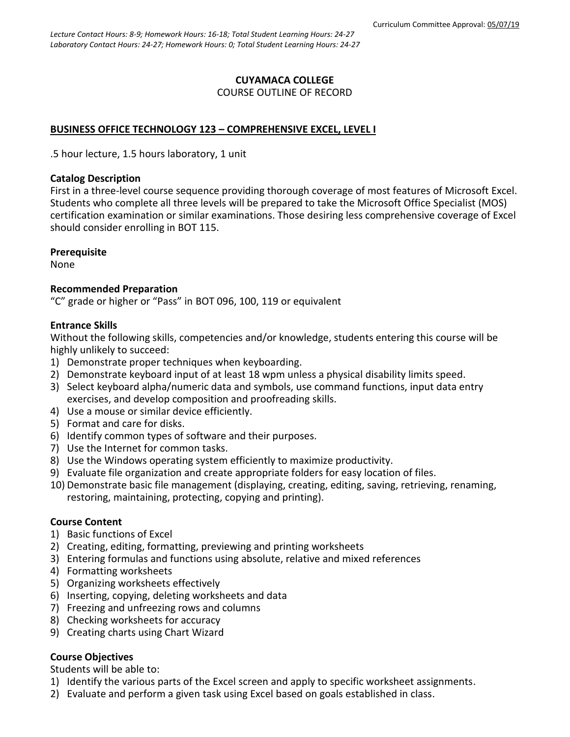# **CUYAMACA COLLEGE** COURSE OUTLINE OF RECORD

# **BUSINESS OFFICE TECHNOLOGY 123 – COMPREHENSIVE EXCEL, LEVEL I**

.5 hour lecture, 1.5 hours laboratory, 1 unit

## **Catalog Description**

First in a three-level course sequence providing thorough coverage of most features of Microsoft Excel. Students who complete all three levels will be prepared to take the Microsoft Office Specialist (MOS) certification examination or similar examinations. Those desiring less comprehensive coverage of Excel should consider enrolling in BOT 115.

## **Prerequisite**

None

# **Recommended Preparation**

"C" grade or higher or "Pass" in BOT 096, 100, 119 or equivalent

## **Entrance Skills**

Without the following skills, competencies and/or knowledge, students entering this course will be highly unlikely to succeed:

- 1) Demonstrate proper techniques when keyboarding.
- 2) Demonstrate keyboard input of at least 18 wpm unless a physical disability limits speed.
- 3) Select keyboard alpha/numeric data and symbols, use command functions, input data entry exercises, and develop composition and proofreading skills.
- 4) Use a mouse or similar device efficiently.
- 5) Format and care for disks.
- 6) Identify common types of software and their purposes.
- 7) Use the Internet for common tasks.
- 8) Use the Windows operating system efficiently to maximize productivity.
- 9) Evaluate file organization and create appropriate folders for easy location of files.
- 10) Demonstrate basic file management (displaying, creating, editing, saving, retrieving, renaming, restoring, maintaining, protecting, copying and printing).

# **Course Content**

- 1) Basic functions of Excel
- 2) Creating, editing, formatting, previewing and printing worksheets
- 3) Entering formulas and functions using absolute, relative and mixed references
- 4) Formatting worksheets
- 5) Organizing worksheets effectively
- 6) Inserting, copying, deleting worksheets and data
- 7) Freezing and unfreezing rows and columns
- 8) Checking worksheets for accuracy
- 9) Creating charts using Chart Wizard

# **Course Objectives**

Students will be able to:

- 1) Identify the various parts of the Excel screen and apply to specific worksheet assignments.
- 2) Evaluate and perform a given task using Excel based on goals established in class.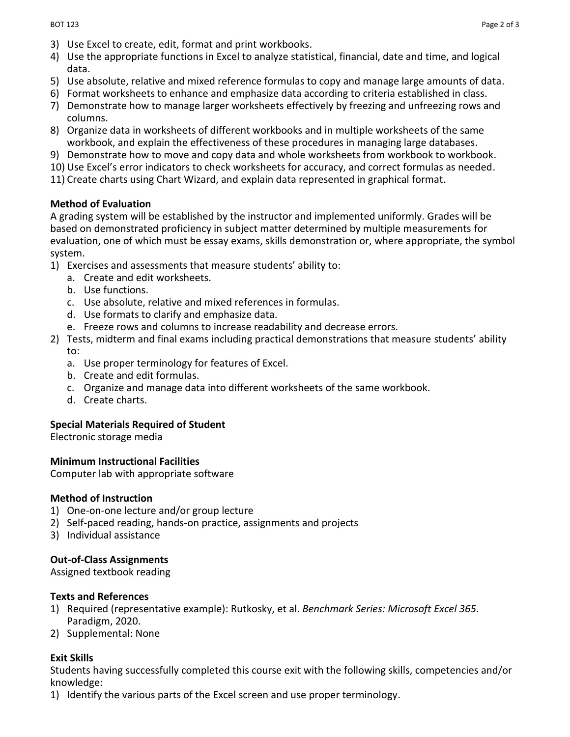- 3) Use Excel to create, edit, format and print workbooks.
- 4) Use the appropriate functions in Excel to analyze statistical, financial, date and time, and logical data.
- 5) Use absolute, relative and mixed reference formulas to copy and manage large amounts of data.
- 6) Format worksheets to enhance and emphasize data according to criteria established in class.
- 7) Demonstrate how to manage larger worksheets effectively by freezing and unfreezing rows and columns.
- 8) Organize data in worksheets of different workbooks and in multiple worksheets of the same workbook, and explain the effectiveness of these procedures in managing large databases.
- 9) Demonstrate how to move and copy data and whole worksheets from workbook to workbook.
- 10) Use Excel's error indicators to check worksheets for accuracy, and correct formulas as needed.
- 11) Create charts using Chart Wizard, and explain data represented in graphical format.

#### **Method of Evaluation**

A grading system will be established by the instructor and implemented uniformly. Grades will be based on demonstrated proficiency in subject matter determined by multiple measurements for evaluation, one of which must be essay exams, skills demonstration or, where appropriate, the symbol system.

- 1) Exercises and assessments that measure students' ability to:
	- a. Create and edit worksheets.
	- b. Use functions.
	- c. Use absolute, relative and mixed references in formulas.
	- d. Use formats to clarify and emphasize data.
	- e. Freeze rows and columns to increase readability and decrease errors.
- 2) Tests, midterm and final exams including practical demonstrations that measure students' ability to:
	- a. Use proper terminology for features of Excel.
	- b. Create and edit formulas.
	- c. Organize and manage data into different worksheets of the same workbook.
	- d. Create charts.

#### **Special Materials Required of Student**

Electronic storage media

#### **Minimum Instructional Facilities**

Computer lab with appropriate software

#### **Method of Instruction**

- 1) One-on-one lecture and/or group lecture
- 2) Self-paced reading, hands-on practice, assignments and projects
- 3) Individual assistance

## **Out-of-Class Assignments**

Assigned textbook reading

#### **Texts and References**

- 1) Required (representative example): Rutkosky, et al. *Benchmark Series: Microsoft Excel 365.* Paradigm, 2020.
- 2) Supplemental: None

## **Exit Skills**

Students having successfully completed this course exit with the following skills, competencies and/or knowledge:

1) Identify the various parts of the Excel screen and use proper terminology.